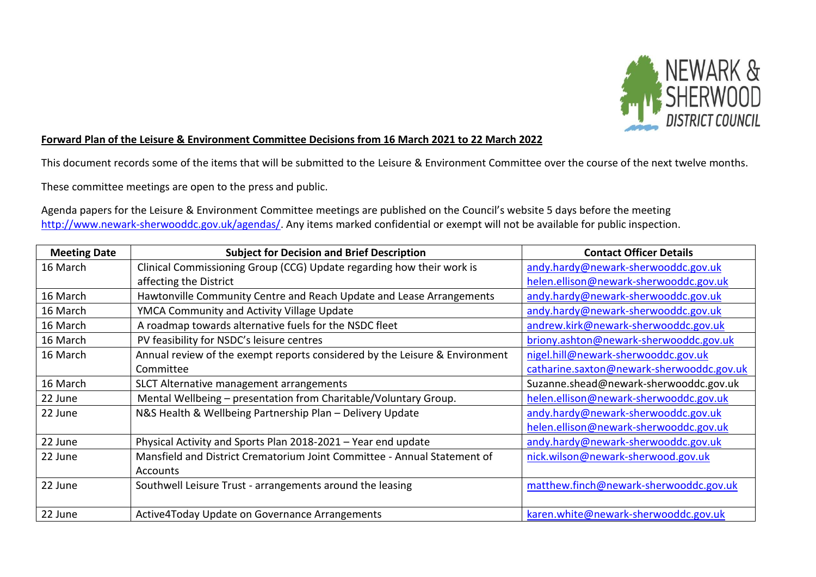

## **Forward Plan of the Leisure & Environment Committee Decisions from 16 March 2021 to 22 March 2022**

This document records some of the items that will be submitted to the Leisure & Environment Committee over the course of the next twelve months.

These committee meetings are open to the press and public.

Agenda papers for the Leisure & Environment Committee meetings are published on the Council's website 5 days before the meeting [http://www.newark-sherwooddc.gov.uk/agendas/.](http://www.newark-sherwooddc.gov.uk/agendas/) Any items marked confidential or exempt will not be available for public inspection.

| <b>Meeting Date</b> | <b>Subject for Decision and Brief Description</b>                           | <b>Contact Officer Details</b>            |
|---------------------|-----------------------------------------------------------------------------|-------------------------------------------|
| 16 March            | Clinical Commissioning Group (CCG) Update regarding how their work is       | andy.hardy@newark-sherwooddc.gov.uk       |
|                     | affecting the District                                                      | helen.ellison@newark-sherwooddc.gov.uk    |
| 16 March            | Hawtonville Community Centre and Reach Update and Lease Arrangements        | andy.hardy@newark-sherwooddc.gov.uk       |
| 16 March            | YMCA Community and Activity Village Update                                  | andy.hardy@newark-sherwooddc.gov.uk       |
| 16 March            | A roadmap towards alternative fuels for the NSDC fleet                      | andrew.kirk@newark-sherwooddc.gov.uk      |
| 16 March            | PV feasibility for NSDC's leisure centres                                   | briony.ashton@newark-sherwooddc.gov.uk    |
| 16 March            | Annual review of the exempt reports considered by the Leisure & Environment | nigel.hill@newark-sherwooddc.gov.uk       |
|                     | Committee                                                                   | catharine.saxton@newark-sherwooddc.gov.uk |
| 16 March            | SLCT Alternative management arrangements                                    | Suzanne.shead@newark-sherwooddc.gov.uk    |
| 22 June             | Mental Wellbeing - presentation from Charitable/Voluntary Group.            | helen.ellison@newark-sherwooddc.gov.uk    |
| 22 June             | N&S Health & Wellbeing Partnership Plan - Delivery Update                   | andy.hardy@newark-sherwooddc.gov.uk       |
|                     |                                                                             | helen.ellison@newark-sherwooddc.gov.uk    |
| 22 June             | Physical Activity and Sports Plan 2018-2021 - Year end update               | andy.hardy@newark-sherwooddc.gov.uk       |
| 22 June             | Mansfield and District Crematorium Joint Committee - Annual Statement of    | nick.wilson@newark-sherwood.gov.uk        |
|                     | Accounts                                                                    |                                           |
| 22 June             | Southwell Leisure Trust - arrangements around the leasing                   | matthew.finch@newark-sherwooddc.gov.uk    |
|                     |                                                                             |                                           |
| 22 June             | Active4Today Update on Governance Arrangements                              | karen.white@newark-sherwooddc.gov.uk      |